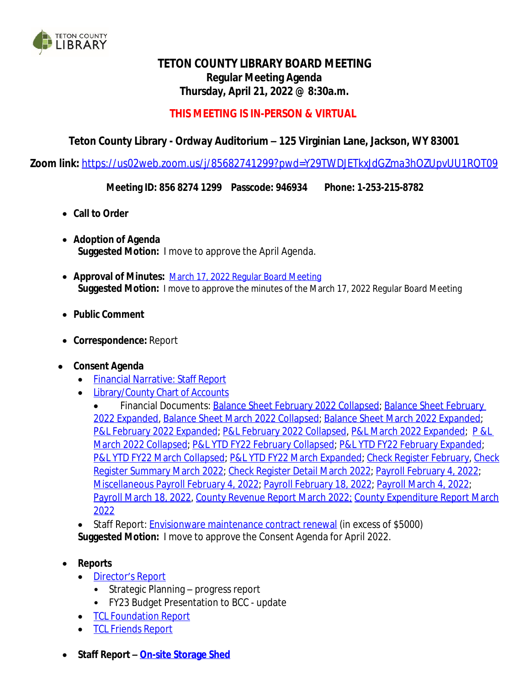

# **TETON COUNTY LIBRARY BOARD MEETING Regular Meeting Agenda Thursday, April 21, 2022 @ 8:30a.m.**

## **THIS MEETING IS IN-PERSON & VIRTUAL**

## **Teton County Library - Ordway Auditorium – 125 Virginian Lane, Jackson, WY 83001**

**Zoom link:** <https://us02web.zoom.us/j/85682741299?pwd=Y29TWDJETkxJdGZma3hOZUpvUU1RQT09>

**Meeting ID: 856 8274 1299 Passcode: 946934 Phone: 1-253-215-8782**

- **Call to Order**
- **Adoption of Agenda Suggested Motion:** I move to approve the April Agenda.
- **Approval of Minutes:** [March 17, 2022 Regular Board Meeting](https://wy-tetoncountylibrary.civicplus.com/DocumentCenter/View/2750/TCL-Board-Meeting-Minutes-March-17-2022) **[Suggested](https://wy-tetoncountylibrary.civicplus.com/DocumentCenter/View/2750/TCL-Board-Meeting-Minutes-March-17-2022) [Motion:](https://wy-tetoncountylibrary.civicplus.com/DocumentCenter/View/2750/TCL-Board-Meeting-Minutes-March-17-2022)** [I](https://wy-tetoncountylibrary.civicplus.com/DocumentCenter/View/2750/TCL-Board-Meeting-Minutes-March-17-2022) [move](https://wy-tetoncountylibrary.civicplus.com/DocumentCenter/View/2750/TCL-Board-Meeting-Minutes-March-17-2022) [to](https://wy-tetoncountylibrary.civicplus.com/DocumentCenter/View/2750/TCL-Board-Meeting-Minutes-March-17-2022) [approve](https://wy-tetoncountylibrary.civicplus.com/DocumentCenter/View/2750/TCL-Board-Meeting-Minutes-March-17-2022) [the](https://wy-tetoncountylibrary.civicplus.com/DocumentCenter/View/2750/TCL-Board-Meeting-Minutes-March-17-2022) [minutes](https://wy-tetoncountylibrary.civicplus.com/DocumentCenter/View/2750/TCL-Board-Meeting-Minutes-March-17-2022) [of the March 17, 2022 Regular Board Meeting](https://wy-tetoncountylibrary.civicplus.com/DocumentCenter/View/2750/TCL-Board-Meeting-Minutes-March-17-2022)
- **[Public](https://wy-tetoncountylibrary.civicplus.com/DocumentCenter/View/2750/TCL-Board-Meeting-Minutes-March-17-2022) [Comment](https://wy-tetoncountylibrary.civicplus.com/DocumentCenter/View/2750/TCL-Board-Meeting-Minutes-March-17-2022)**
- **[Correspondence:](https://wy-tetoncountylibrary.civicplus.com/DocumentCenter/View/2750/TCL-Board-Meeting-Minutes-March-17-2022)** [Report](https://wy-tetoncountylibrary.civicplus.com/DocumentCenter/View/2750/TCL-Board-Meeting-Minutes-March-17-2022)
- **[Consent](https://wy-tetoncountylibrary.civicplus.com/DocumentCenter/View/2750/TCL-Board-Meeting-Minutes-March-17-2022) [Agenda](https://wy-tetoncountylibrary.civicplus.com/DocumentCenter/View/2750/TCL-Board-Meeting-Minutes-March-17-2022)**
	- [Financial](https://wy-tetoncountylibrary.civicplus.com/DocumentCenter/View/2783/March-2022-Financial-Narrative) [Narrative:](https://wy-tetoncountylibrary.civicplus.com/DocumentCenter/View/2783/March-2022-Financial-Narrative) Staff [Report](https://wy-tetoncountylibrary.civicplus.com/DocumentCenter/View/2783/March-2022-Financial-Narrative)
	- [Library/County](https://wy-tetoncountylibrary.civicplus.com/DocumentCenter/View/2769/FY22-Library-County-Chart-of-Accounts) Chart of Accounts
		- Financial Documents: [Balance Sheet February 2022 Collapsed;](https://wy-tetoncountylibrary.civicplus.com/DocumentCenter/View/2763/2282022-Collapsed-Balance-Sheet) Balance Sheet February [2022 Expanded,](https://wy-tetoncountylibrary.civicplus.com/DocumentCenter/View/2764/2282022-Expanded-Balance-Sheet) [Balance Sheet March 2022 Collapsed;](https://wy-tetoncountylibrary.civicplus.com/DocumentCenter/View/2778/3312022-Balance-Sheet-Collapsed) [Balance Sheet March 2022 Expanded;](https://wy-tetoncountylibrary.civicplus.com/DocumentCenter/View/2777/3312022-Balance-Sheet) [P&L February 2022 Expanded;](https://wy-tetoncountylibrary.civicplus.com/DocumentCenter/View/2760/February-2022-expanded-Income-Statement-Budget-to-Actual) [P&L February 2022 Collapsed,](https://wy-tetoncountylibrary.civicplus.com/DocumentCenter/View/2762/February-2022-collapsed-Fiscal-Year-Income-Statement-Budget-to-Actual) [P&L March 2022 Expanded](https://wy-tetoncountylibrary.civicplus.com/DocumentCenter/View/2779/March-Income-Statement-Budget-to-Actual); P &L [March 2022 Collapsed;](https://wy-tetoncountylibrary.civicplus.com/DocumentCenter/View/2776/March-Income-Statement-Budget-to-Actual-Collapsed) [P&L YTD FY22 February Collapsed](https://wy-tetoncountylibrary.civicplus.com/DocumentCenter/View/2762/February-2022-collapsed-Fiscal-Year-Income-Statement-Budget-to-Actual); [P&L YTD FY22 February Expanded;](https://wy-tetoncountylibrary.civicplus.com/DocumentCenter/View/2761/February-2022-Expanded-Fiscal-Year-Income-Statement-Budget-to-Actual) [P&L YTD FY22 March Collapsed;](https://wy-tetoncountylibrary.civicplus.com/DocumentCenter/View/2780/March-Fiscal-Year-Income-Statement-Budget-to-Actual) [P&L YTD FY22 March Expanded](https://wy-tetoncountylibrary.civicplus.com/DocumentCenter/View/2781/March-Fiscal-Year-Income-Statement-Budget-to-Actual-Expanded); [Check Register February,](https://wy-tetoncountylibrary.civicplus.com/DocumentCenter/View/2766/2282022-Reconciles) [Check](https://wy-tetoncountylibrary.civicplus.com/DocumentCenter/View/2774/3312022-Reconcile-SummaryFIB-Check) [Register Summary March 2022;](https://wy-tetoncountylibrary.civicplus.com/DocumentCenter/View/2774/3312022-Reconcile-SummaryFIB-Check) [Check Register Detail March 2022](https://wy-tetoncountylibrary.civicplus.com/DocumentCenter/View/2775/3312022-Reconcile-DetaiLFIBCheck); [Payroll February 4, 2022;](https://wy-tetoncountylibrary.civicplus.com/DocumentCenter/View/2758/02042022-LIBRARY-PAYROLL) [Miscellaneous Payroll February 4, 2022;](https://wy-tetoncountylibrary.civicplus.com/DocumentCenter/View/2759/02042022-LIBRARY-PAYROLL---MISC) [Payroll February 18, 2022](https://wy-tetoncountylibrary.civicplus.com/DocumentCenter/View/2757/02182022-LIBRARY-PAYROLL); [Payroll March 4, 2022;](https://wy-tetoncountylibrary.civicplus.com/DocumentCenter/View/2756/03042022-LIBRARY-PAYROLL) [Payroll March 18, 2022,](https://wy-tetoncountylibrary.civicplus.com/DocumentCenter/View/2755/03182022-LIBRARY-PAYROLL) [County Revenue Report March 2022;](https://wy-tetoncountylibrary.civicplus.com/DocumentCenter/View/2768/2022_03_RevReport-Detail) [County Expenditure Report March](https://wy-tetoncountylibrary.civicplus.com/DocumentCenter/View/2767/2022_03ExpReport-Detail) 2022
	- Staff Report: [Envisionware maintenance contract renewal \(in excess of \\$5000\)](https://wy-tetoncountylibrary.civicplus.com/DocumentCenter/View/2773/EnvisionWare-Renewal-Report) **[Suggested](https://wy-tetoncountylibrary.civicplus.com/DocumentCenter/View/2773/EnvisionWare-Renewal-Report) [Motion:](https://wy-tetoncountylibrary.civicplus.com/DocumentCenter/View/2773/EnvisionWare-Renewal-Report)** [I](https://wy-tetoncountylibrary.civicplus.com/DocumentCenter/View/2773/EnvisionWare-Renewal-Report) [move](https://wy-tetoncountylibrary.civicplus.com/DocumentCenter/View/2773/EnvisionWare-Renewal-Report) [to](https://wy-tetoncountylibrary.civicplus.com/DocumentCenter/View/2773/EnvisionWare-Renewal-Report) [approve](https://wy-tetoncountylibrary.civicplus.com/DocumentCenter/View/2773/EnvisionWare-Renewal-Report) [the](https://wy-tetoncountylibrary.civicplus.com/DocumentCenter/View/2773/EnvisionWare-Renewal-Report) [Consent](https://wy-tetoncountylibrary.civicplus.com/DocumentCenter/View/2773/EnvisionWare-Renewal-Report) [Agenda](https://wy-tetoncountylibrary.civicplus.com/DocumentCenter/View/2773/EnvisionWare-Renewal-Report) [for](https://wy-tetoncountylibrary.civicplus.com/DocumentCenter/View/2773/EnvisionWare-Renewal-Report) [April](https://wy-tetoncountylibrary.civicplus.com/DocumentCenter/View/2773/EnvisionWare-Renewal-Report) [2022.](https://wy-tetoncountylibrary.civicplus.com/DocumentCenter/View/2773/EnvisionWare-Renewal-Report)
- **[Reports](https://wy-tetoncountylibrary.civicplus.com/DocumentCenter/View/2773/EnvisionWare-Renewal-Report)**
	- [Director](https://wy-tetoncountylibrary.civicplus.com/DocumentCenter/View/2782/Staff-Report---Directors-Report-42022)'s [Report](https://wy-tetoncountylibrary.civicplus.com/DocumentCenter/View/2782/Staff-Report---Directors-Report-42022)
		- Strategic Planning progress report
		- FY23 Budget Presentation to BCC update
	- [TCL](https://wy-tetoncountylibrary.civicplus.com/DocumentCenter/View/2751/TCL-Foundation-Report-April-2022) [Foundation](https://wy-tetoncountylibrary.civicplus.com/DocumentCenter/View/2751/TCL-Foundation-Report-April-2022) [Report](https://wy-tetoncountylibrary.civicplus.com/DocumentCenter/View/2751/TCL-Foundation-Report-April-2022)
	- [TCL](https://wy-tetoncountylibrary.civicplus.com/DocumentCenter/View/2752/TCL-Friends-Report-April-2022) [Friends](https://wy-tetoncountylibrary.civicplus.com/DocumentCenter/View/2752/TCL-Friends-Report-April-2022) [Report](https://wy-tetoncountylibrary.civicplus.com/DocumentCenter/View/2752/TCL-Friends-Report-April-2022)
- **Staff Report – [On-site Storage Shed](https://wy-tetoncountylibrary.civicplus.com/DocumentCenter/View/2770/Staff-Report---Storage-Shed)**